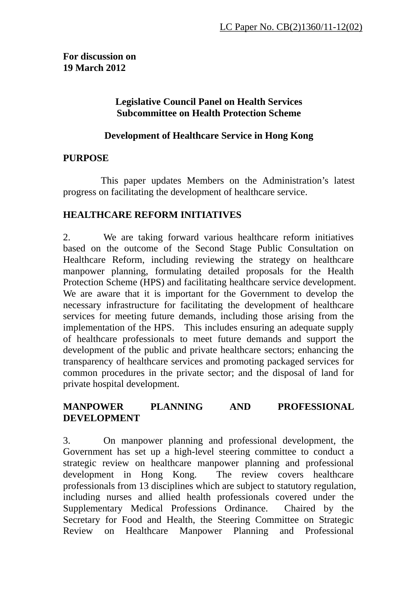**For discussion on 19 March 2012** 

### **Legislative Council Panel on Health Services Subcommittee on Health Protection Scheme**

### **Development of Healthcare Service in Hong Kong**

### **PURPOSE**

 This paper updates Members on the Administration's latest progress on facilitating the development of healthcare service.

### **HEALTHCARE REFORM INITIATIVES**

2. We are taking forward various healthcare reform initiatives based on the outcome of the Second Stage Public Consultation on Healthcare Reform, including reviewing the strategy on healthcare manpower planning, formulating detailed proposals for the Health Protection Scheme (HPS) and facilitating healthcare service development. We are aware that it is important for the Government to develop the necessary infrastructure for facilitating the development of healthcare services for meeting future demands, including those arising from the implementation of the HPS. This includes ensuring an adequate supply of healthcare professionals to meet future demands and support the development of the public and private healthcare sectors; enhancing the transparency of healthcare services and promoting packaged services for common procedures in the private sector; and the disposal of land for private hospital development.

### **MANPOWER PLANNING AND PROFESSIONAL DEVELOPMENT**

3. On manpower planning and professional development, the Government has set up a high-level steering committee to conduct a strategic review on healthcare manpower planning and professional development in Hong Kong. The review covers healthcare professionals from 13 disciplines which are subject to statutory regulation, including nurses and allied health professionals covered under the Supplementary Medical Professions Ordinance. Chaired by the Secretary for Food and Health, the Steering Committee on Strategic Review on Healthcare Manpower Planning and Professional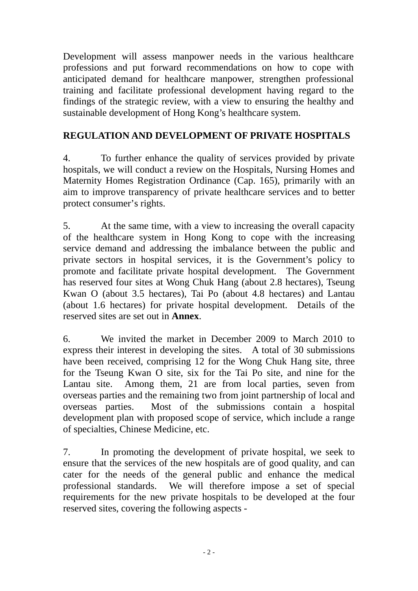Development will assess manpower needs in the various healthcare professions and put forward recommendations on how to cope with anticipated demand for healthcare manpower, strengthen professional training and facilitate professional development having regard to the findings of the strategic review, with a view to ensuring the healthy and sustainable development of Hong Kong's healthcare system.

# **REGULATION AND DEVELOPMENT OF PRIVATE HOSPITALS**

4. To further enhance the quality of services provided by private hospitals, we will conduct a review on the Hospitals, Nursing Homes and Maternity Homes Registration Ordinance (Cap. 165), primarily with an aim to improve transparency of private healthcare services and to better protect consumer's rights.

5. At the same time, with a view to increasing the overall capacity of the healthcare system in Hong Kong to cope with the increasing service demand and addressing the imbalance between the public and private sectors in hospital services, it is the Government's policy to promote and facilitate private hospital development. The Government has reserved four sites at Wong Chuk Hang (about 2.8 hectares), Tseung Kwan O (about 3.5 hectares), Tai Po (about 4.8 hectares) and Lantau (about 1.6 hectares) for private hospital development. Details of the reserved sites are set out in **Annex**.

6. We invited the market in December 2009 to March 2010 to express their interest in developing the sites. A total of 30 submissions have been received, comprising 12 for the Wong Chuk Hang site, three for the Tseung Kwan O site, six for the Tai Po site, and nine for the Lantau site. Among them, 21 are from local parties, seven from overseas parties and the remaining two from joint partnership of local and overseas parties. Most of the submissions contain a hospital development plan with proposed scope of service, which include a range of specialties, Chinese Medicine, etc.

7. In promoting the development of private hospital, we seek to ensure that the services of the new hospitals are of good quality, and can cater for the needs of the general public and enhance the medical professional standards. We will therefore impose a set of special requirements for the new private hospitals to be developed at the four reserved sites, covering the following aspects -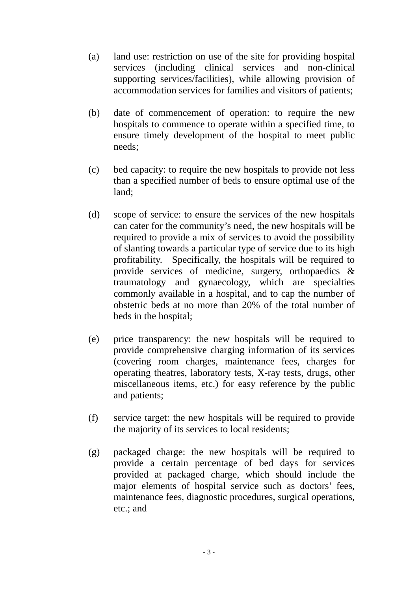- (a) land use: restriction on use of the site for providing hospital services (including clinical services and non-clinical supporting services/facilities), while allowing provision of accommodation services for families and visitors of patients;
- (b) date of commencement of operation: to require the new hospitals to commence to operate within a specified time, to ensure timely development of the hospital to meet public needs;
- (c) bed capacity: to require the new hospitals to provide not less than a specified number of beds to ensure optimal use of the land;
- (d) scope of service: to ensure the services of the new hospitals can cater for the community's need, the new hospitals will be required to provide a mix of services to avoid the possibility of slanting towards a particular type of service due to its high profitability. Specifically, the hospitals will be required to provide services of medicine, surgery, orthopaedics & traumatology and gynaecology, which are specialties commonly available in a hospital, and to cap the number of obstetric beds at no more than 20% of the total number of beds in the hospital;
- (e) price transparency: the new hospitals will be required to provide comprehensive charging information of its services (covering room charges, maintenance fees, charges for operating theatres, laboratory tests, X-ray tests, drugs, other miscellaneous items, etc.) for easy reference by the public and patients;
- (f) service target: the new hospitals will be required to provide the majority of its services to local residents;
- (g) packaged charge: the new hospitals will be required to provide a certain percentage of bed days for services provided at packaged charge, which should include the major elements of hospital service such as doctors' fees, maintenance fees, diagnostic procedures, surgical operations, etc.; and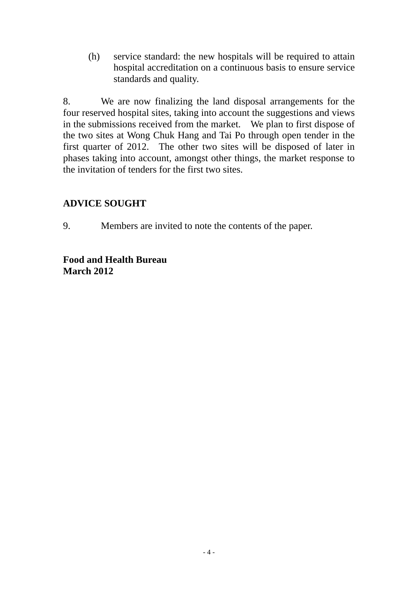(h) service standard: the new hospitals will be required to attain hospital accreditation on a continuous basis to ensure service standards and quality.

8. We are now finalizing the land disposal arrangements for the four reserved hospital sites, taking into account the suggestions and views in the submissions received from the market. We plan to first dispose of the two sites at Wong Chuk Hang and Tai Po through open tender in the first quarter of 2012. The other two sites will be disposed of later in phases taking into account, amongst other things, the market response to the invitation of tenders for the first two sites.

### **ADVICE SOUGHT**

9. Members are invited to note the contents of the paper.

### **Food and Health Bureau March 2012**